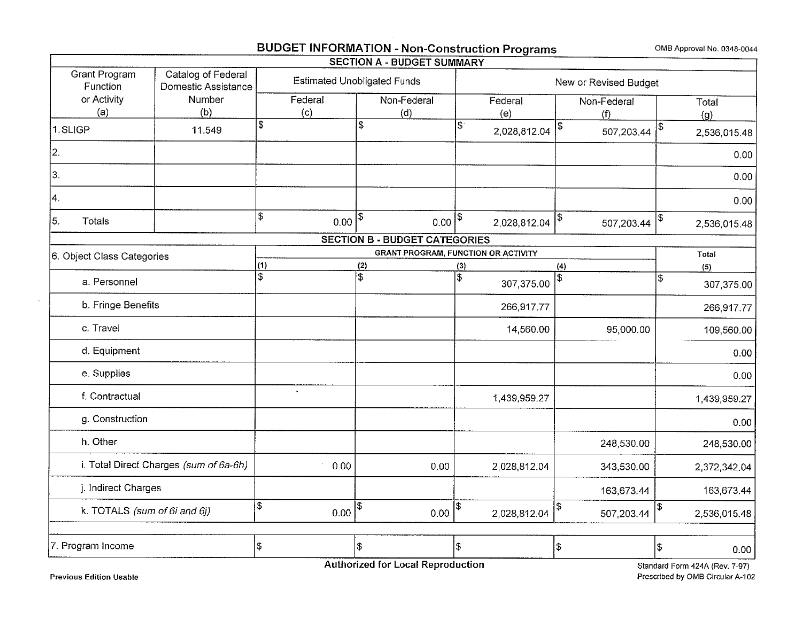# **BUDGET INFORMATION** - **Non-Construction Programs 0MB Approval No. 0348-0044**

|                                        |                                           |                                    | <b>SECTION A - BUDGET SUMMARY</b>    |                                            |                       |                    |
|----------------------------------------|-------------------------------------------|------------------------------------|--------------------------------------|--------------------------------------------|-----------------------|--------------------|
| <b>Grant Program</b><br>Function       | Catalog of Federal<br>Domestic Assistance | <b>Estimated Unobligated Funds</b> |                                      |                                            | New or Revised Budget |                    |
| or Activity<br>(a)                     | Number<br>(b)                             | Federal<br>(c)                     | Non-Federal<br>(d)                   | Federal<br>(e)                             | Non-Federal<br>(f)    | Total<br>(g)       |
| 1.SLIGP                                | 11.549                                    | \$                                 | \$                                   | \$<br>2 028 812 04                         | \$<br>507,203.44      | \$<br>2,536,015.48 |
| 2.                                     |                                           |                                    |                                      |                                            |                       | 0.00               |
| 3.                                     |                                           |                                    |                                      |                                            |                       | 0.00               |
| 4.                                     |                                           |                                    |                                      |                                            |                       | 0.00               |
| 5.<br><b>Totals</b>                    |                                           | \$<br>0.00                         | \$<br>0.00                           | \$<br>2 028 812 04                         | \$<br>507 203.44      | 2,536,015.48       |
|                                        |                                           |                                    | <b>SECTION B - BUDGET CATEGORIES</b> |                                            |                       |                    |
| 6. Object Class Categories             |                                           |                                    |                                      | <b>GRANT PROGRAM, FUNCTION OR ACTIVITY</b> |                       | Total              |
|                                        |                                           | (1)                                | (2)                                  | (3)                                        | (4)                   | (5)                |
| a. Personnel                           |                                           | $\overline{\mathbb{S}}$            | $\overline{\$}$                      | \$<br>307 375.00                           | \$                    | \$<br>307,375.00   |
| b. Fringe Benefits                     |                                           |                                    |                                      | 266,917.77                                 |                       | 266,917.77         |
| c. Travel                              |                                           |                                    |                                      | 14,560.00                                  | 95,000.00             | 109,560.00         |
| d. Equipment                           |                                           |                                    |                                      |                                            |                       | 0.00               |
| e. Supplies                            |                                           |                                    |                                      |                                            |                       | 0.00               |
| f. Contractual                         |                                           | $\bullet$                          |                                      | 1,439,959.27                               |                       | 1,439,959.27       |
| g. Construction                        |                                           |                                    |                                      |                                            |                       | 0.00               |
| h. Other                               |                                           |                                    |                                      |                                            | 248,530.00            | 248,530.00         |
| i. Total Direct Charges (sum of 6a-6h) |                                           | 0.00                               | 0.00                                 | 2,028,812.04                               | 343,530.00            | 2,372,342.04       |
| j. Indirect Charges                    |                                           |                                    |                                      |                                            | 163,673.44            | 163,673.44         |
| k. TOTALS (sum of 6i and 6j)           |                                           | \$<br>0.00                         | Ş<br>0.00                            | \$<br>2,028,812.04                         | ۱\$<br>507,203.44     | \$<br>2,536,015.48 |
|                                        |                                           |                                    |                                      |                                            |                       |                    |
| 7. Program Income                      |                                           | \$                                 | \$                                   | $\mathfrak{g}$                             | \$                    | \$<br>0.00         |

 $\Gamma$ 

 $\mathcal{L}$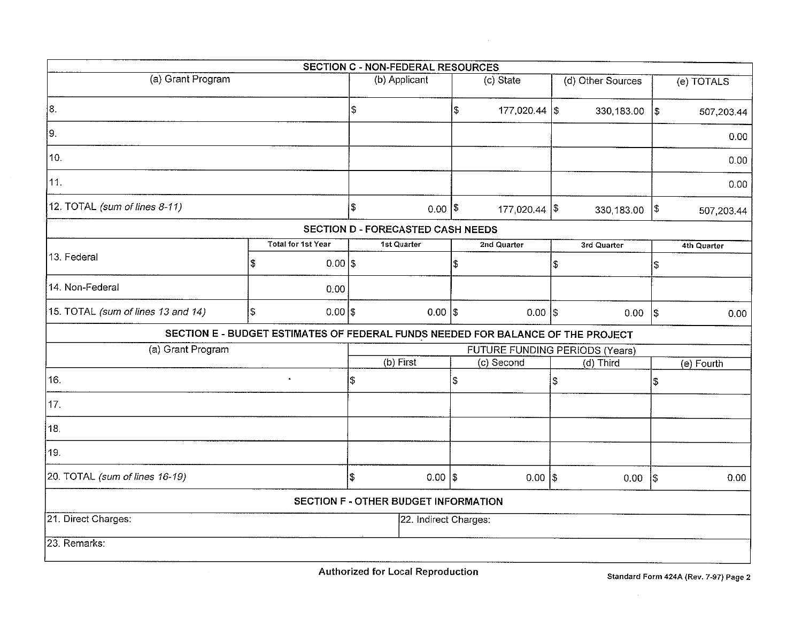|                                    |            |                           |                       | <b>SECTION C - NON-FEDERAL RESOURCES</b> |     |                                                                                 |    |                   |            |             |
|------------------------------------|------------|---------------------------|-----------------------|------------------------------------------|-----|---------------------------------------------------------------------------------|----|-------------------|------------|-------------|
| (a) Grant Program                  |            |                           |                       | (b) Applicant                            |     | (c) State                                                                       |    | (d) Other Sources |            | (e) TOTALS  |
| 18.                                |            |                           | \$                    |                                          | Ι\$ | $177,020.44$ \\$                                                                |    | $330,183.00$ \$   |            | 507,203.44  |
| 9.                                 |            |                           |                       |                                          |     |                                                                                 |    |                   |            | 0.00        |
| 10.                                |            |                           |                       |                                          |     |                                                                                 |    |                   |            | 0.00        |
| 11.                                |            |                           |                       |                                          |     |                                                                                 |    |                   |            | 0.00        |
| 12. TOTAL (sum of lines 8-11)      |            |                           | \$                    | $0.00$  \$                               |     | $177,020.44$ \\$                                                                |    | 330,183.00        | $\vert$ \$ | 507,203.44  |
|                                    |            |                           |                       | SECTION D - FORECASTED CASH NEEDS        |     |                                                                                 |    |                   |            |             |
|                                    |            | <b>Total for 1st Year</b> |                       | 1st Quarter                              |     | 2nd Quarter                                                                     |    | 3rd Quarter       |            | 4th Quarter |
| 13. Federal                        | \$         | $0.00$  \$                |                       |                                          | \$  |                                                                                 | \$ |                   | \$         |             |
| 14. Non-Federal                    |            | 0.00                      |                       |                                          |     |                                                                                 |    |                   |            |             |
| 15. TOTAL (sum of lines 13 and 14) | $\vert$ \$ | $0.00$  \$                |                       | $0.00$ $ $ \$                            |     | $0.00$ $ $ \$                                                                   |    | 0.00              | <b>S</b>   | 0.00        |
|                                    |            |                           |                       |                                          |     | SECTION E - BUDGET ESTIMATES OF FEDERAL FUNDS NEEDED FOR BALANCE OF THE PROJECT |    |                   |            |             |
| (a) Grant Program                  |            |                           |                       |                                          |     | FUTURE FUNDING PERIODS (Years)                                                  |    |                   |            |             |
|                                    |            |                           |                       | (b) First                                |     | (c) Second                                                                      |    | (d) Third         |            | (e) Fourth  |
| 16.                                |            | $\bullet$                 | \$                    |                                          | 5   |                                                                                 | \$ |                   | \$         |             |
| 17.                                |            |                           |                       |                                          |     |                                                                                 |    |                   |            |             |
| 18.                                |            |                           |                       |                                          |     |                                                                                 |    |                   |            |             |
| 19.                                |            |                           |                       |                                          |     |                                                                                 |    |                   |            |             |
| 20. TOTAL (sum of lines 16-19)     |            |                           | \$                    | $0.00$  \$                               |     | $0.00$ $ $ \$                                                                   |    | 0.00 <sub>1</sub> | $\vert$ \$ | 0.00        |
|                                    |            |                           |                       | SECTION F - OTHER BUDGET INFORMATION     |     |                                                                                 |    |                   |            |             |
| 21. Direct Charges:                |            |                           | 22. Indirect Charges: |                                          |     |                                                                                 |    |                   |            |             |
| 23. Remarks:                       |            |                           |                       |                                          |     |                                                                                 |    |                   |            |             |

 $\sim 10^{-1}$ 

 $\sim$ 

 $\sim$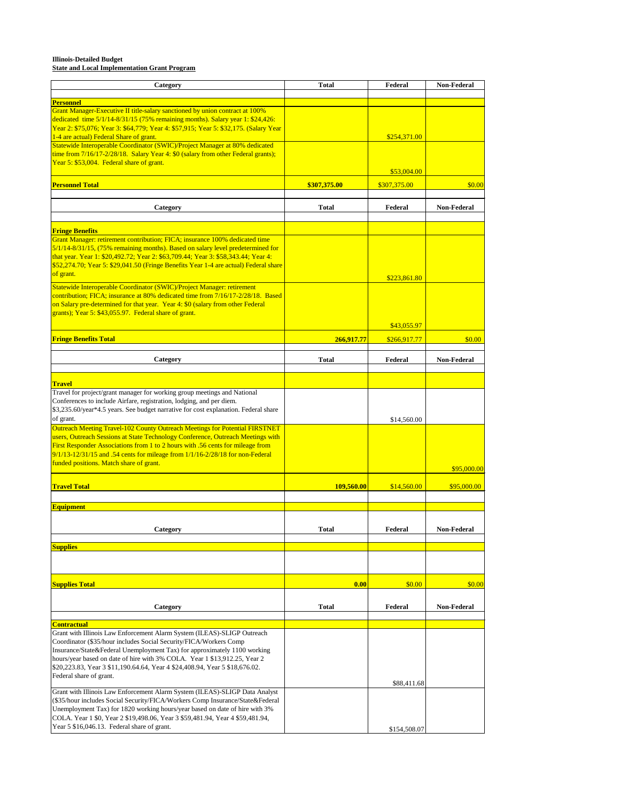# **Illinois-Detailed Budget State and Local Implementation Grant Program**

| Category                                                                                                                                                                                                                                                                                                                                                                                                        | <b>Total</b> | Federal      | <b>Non-Federal</b> |
|-----------------------------------------------------------------------------------------------------------------------------------------------------------------------------------------------------------------------------------------------------------------------------------------------------------------------------------------------------------------------------------------------------------------|--------------|--------------|--------------------|
| <b>Personnel</b>                                                                                                                                                                                                                                                                                                                                                                                                |              |              |                    |
| Grant Manager-Executive II title-salary sanctioned by union contract at 100%<br>dedicated time 5/1/14-8/31/15 (75% remaining months). Salary year 1: \$24,426:<br>Year 2: \$75,076; Year 3: \$64,779; Year 4: \$57,915; Year 5: \$32,175. (Salary Year                                                                                                                                                          |              |              |                    |
| 1-4 are actual) Federal Share of grant.<br>Statewide Interoperable Coordinator (SWIC)/Project Manager at 80% dedicated                                                                                                                                                                                                                                                                                          |              | \$254,371.00 |                    |
| time from $7/16/17-2/28/18$ . Salary Year 4: \$0 (salary from other Federal grants);<br>Year 5: \$53,004. Federal share of grant.                                                                                                                                                                                                                                                                               |              | \$53,004.00  |                    |
| <b>Personnel Total</b>                                                                                                                                                                                                                                                                                                                                                                                          | \$307,375.00 | \$307,375.00 | \$0.00             |
| Category                                                                                                                                                                                                                                                                                                                                                                                                        | <b>Total</b> | Federal      | <b>Non-Federal</b> |
|                                                                                                                                                                                                                                                                                                                                                                                                                 |              |              |                    |
| <b>Fringe Benefits</b><br>Grant Manager: retirement contribution; FICA; insurance 100% dedicated time<br>$5/1/14-8/31/15$ , (75% remaining months). Based on salary level predetermined for<br>that year. Year 1: \$20,492.72; Year 2: \$63,709.44; Year 3: \$58,343.44; Year 4:<br>\$52,274.70; Year 5: \$29,041.50 (Fringe Benefits Year 1-4 are actual) Federal share<br>of grant.                           |              | \$223,861.80 |                    |
| Statewide Interoperable Coordinator (SWIC)/Project Manager: retirement<br>contribution; FICA; insurance at 80% dedicated time from 7/16/17-2/28/18. Based<br>on Salary pre-determined for that year. Year 4: \$0 (salary from other Federal                                                                                                                                                                     |              |              |                    |
| grants); Year 5: \$43,055.97. Federal share of grant.                                                                                                                                                                                                                                                                                                                                                           |              | \$43,055.97  |                    |
| <b>Fringe Benefits Total</b>                                                                                                                                                                                                                                                                                                                                                                                    | 266,917.77   | \$266,917.77 | \$0.00             |
| Category                                                                                                                                                                                                                                                                                                                                                                                                        | <b>Total</b> | Federal      | <b>Non-Federal</b> |
|                                                                                                                                                                                                                                                                                                                                                                                                                 |              |              |                    |
| <b>Travel</b><br>Travel for project/grant manager for working group meetings and National                                                                                                                                                                                                                                                                                                                       |              |              |                    |
| Conferences to include Airfare, registration, lodging, and per diem.<br>\$3,235.60/year*4.5 years. See budget narrative for cost explanation. Federal share<br>of grant.                                                                                                                                                                                                                                        |              | \$14,560.00  |                    |
| Outreach Meeting Travel-102 County Outreach Meetings for Potential FIRSTNET<br>users, Outreach Sessions at State Technology Conference, Outreach Meetings with<br>First Responder Associations from 1 to 2 hours with .56 cents for mileage from<br>9/1/13-12/31/15 and .54 cents for mileage from 1/1/16-2/28/18 for non-Federal<br>funded positions. Match share of grant.                                    |              |              | \$95,000.00        |
| <b>Travel Total</b>                                                                                                                                                                                                                                                                                                                                                                                             | 109,560.00   | \$14,560.00  | \$95,000.00        |
| <b>Equipment</b>                                                                                                                                                                                                                                                                                                                                                                                                |              |              |                    |
|                                                                                                                                                                                                                                                                                                                                                                                                                 |              |              |                    |
| Category                                                                                                                                                                                                                                                                                                                                                                                                        | <b>Total</b> | Federal      | <b>Non-Federal</b> |
| <b>Supplies</b>                                                                                                                                                                                                                                                                                                                                                                                                 |              |              |                    |
|                                                                                                                                                                                                                                                                                                                                                                                                                 |              |              |                    |
| <b>Supplies Total</b>                                                                                                                                                                                                                                                                                                                                                                                           | 0.00         | \$0.00       | \$0.00             |
| Category                                                                                                                                                                                                                                                                                                                                                                                                        | <b>Total</b> | Federal      | <b>Non-Federal</b> |
| <b>Contractual</b>                                                                                                                                                                                                                                                                                                                                                                                              |              |              |                    |
| Grant with Illinois Law Enforcement Alarm System (ILEAS)-SLIGP Outreach<br>Coordinator (\$35/hour includes Social Security/FICA/Workers Comp<br>Insurance/State&Federal Unemployment Tax) for approximately 1100 working<br>hours/year based on date of hire with 3% COLA. Year 1 \$13,912.25, Year 2<br>\$20,223.83, Year 3 \$11,190.64.64, Year 4 \$24,408.94, Year 5 \$18,676.02.<br>Federal share of grant. |              | \$88,411.68  |                    |
| Grant with Illinois Law Enforcement Alarm System (ILEAS)-SLIGP Data Analyst<br>(\$35/hour includes Social Security/FICA/Workers Comp Insurance/State&Federal<br>Unemployment Tax) for 1820 working hours/year based on date of hire with 3%<br>COLA. Year 1 \$0, Year 2 \$19,498.06, Year 3 \$59,481.94, Year 4 \$59,481.94,<br>Year 5 \$16,046.13. Federal share of grant.                                     |              | \$154,508.07 |                    |
|                                                                                                                                                                                                                                                                                                                                                                                                                 |              |              |                    |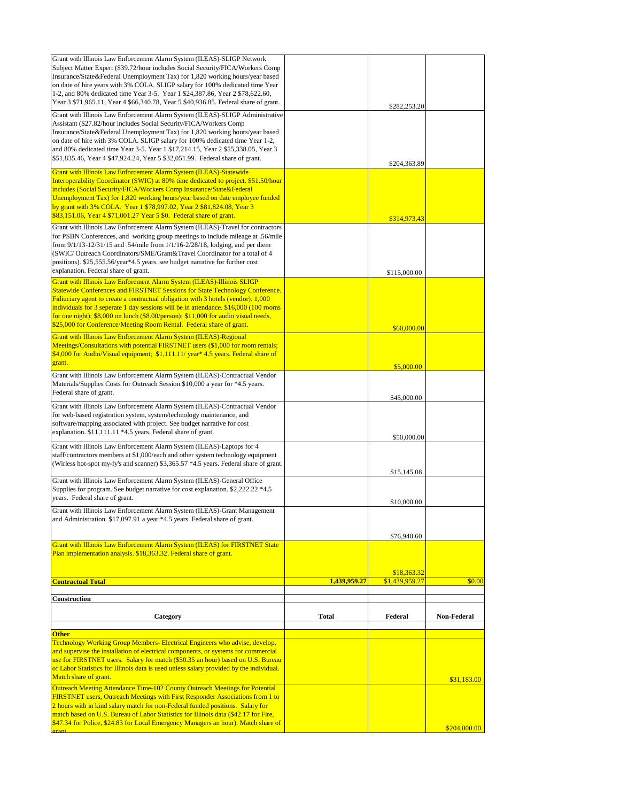| Grant with Illinois Law Enforcement Alarm System (ILEAS)-SLIGP Network                                                                                                     |              |                |                    |
|----------------------------------------------------------------------------------------------------------------------------------------------------------------------------|--------------|----------------|--------------------|
| Subject Matter Expert (\$39.72/hour includes Social Security/FICA/Workers Comp<br>Insurance/State&Federal Unemployment Tax) for 1,820 working hours/year based             |              |                |                    |
| on date of hire years with 3% COLA. SLIGP salary for 100% dedicated time Year                                                                                              |              |                |                    |
| 1-2, and 80% dedicated time Year 3-5. Year 1 \$24,387.86, Year 2 \$78,622.60,                                                                                              |              |                |                    |
| Year 3 \$71,965.11, Year 4 \$66,340.78, Year 5 \$40,936.85. Federal share of grant.                                                                                        |              | \$282,253.20   |                    |
| Grant with Illinois Law Enforcement Alarm System (ILEAS)-SLIGP Administrative                                                                                              |              |                |                    |
| Assistant (\$27.82/hour includes Social Security/FICA/Workers Comp                                                                                                         |              |                |                    |
| Insurance/State&Federal Unemployment Tax) for 1,820 working hours/year based                                                                                               |              |                |                    |
| on date of hire with 3% COLA. SLIGP salary for 100% dedicated time Year 1-2,<br>and 80% dedicated time Year 3-5. Year 1 \$17,214.15, Year 2 \$55,338.05, Year 3            |              |                |                    |
| \$51,835.46, Year 4 \$47,924.24, Year 5 \$32,051.99. Federal share of grant.                                                                                               |              |                |                    |
|                                                                                                                                                                            |              | \$204,363.89   |                    |
| <b>Grant with Illinois Law Enforcement Alarm System (ILEAS)-Statewide</b><br>Interoperability Coordinator (SWIC) at 80% time dedicated to project. \$51.50/hour            |              |                |                    |
| includes (Social Security/FICA/Workers Comp Insurance/State&Federal                                                                                                        |              |                |                    |
| Unemployment Tax) for 1,820 working hours/year based on date employee funded                                                                                               |              |                |                    |
| by grant with 3% COLA. Year 1 \$78,997.02, Year 2 \$81,824.08, Year 3                                                                                                      |              |                |                    |
| \$83,151.06, Year 4 \$71,001.27 Year 5 \$0. Federal share of grant.                                                                                                        |              | \$314,973.43   |                    |
| Grant with Illinois Law Enforcement Alarm System (ILEAS)-Travel for contractors                                                                                            |              |                |                    |
| for PSBN Conferences, and working group meetings to include mileage at .56/mile                                                                                            |              |                |                    |
| from 9/1/13-12/31/15 and .54/mile from 1/1/16-2/28/18, lodging, and per diem<br>(SWIC/Outreach Coordinators/SME/Grant&Travel Coordinator for a total of 4                  |              |                |                    |
| positions). \$25,555.56/year*4.5 years. see budget narrative for further cost                                                                                              |              |                |                    |
| explanation. Federal share of grant.                                                                                                                                       |              | \$115,000.00   |                    |
| Grant with Illinois Law Enforement Alarm System (ILEAS)-Illinois SLIGP                                                                                                     |              |                |                    |
| Statewide Conferences and FIRSTNET Sessions for State Technology Conference.                                                                                               |              |                |                    |
| Fidiuciary agent to create a contractual obligation with 3 hotels (vendor). 1,000                                                                                          |              |                |                    |
| individuals for 3 seperate 1 day sessions will be in attendance. \$16,000 (100 rooms<br>for one night); \$8,000 on lunch (\$8.00/person); \$11,000 for audio visual needs, |              |                |                    |
| \$25,000 for Conference/Meeting Room Rental. Federal share of grant.                                                                                                       |              |                |                    |
| Grant with Illinois Law Enforcement Alarm System (ILEAS)-Regional                                                                                                          |              | \$60,000.00    |                    |
| Meetings/Consultations with potential FIRSTNET users (\$1,000 for room rentals;                                                                                            |              |                |                    |
| \$4,000 for Audio/Visual equipment; \$1,111.11/ year* 4.5 years. Federal share of                                                                                          |              |                |                    |
| grant.                                                                                                                                                                     |              | \$5,000.00     |                    |
| Grant with Illinois Law Enforcement Alarm System (ILEAS)-Contractual Vendor                                                                                                |              |                |                    |
| Materials/Supplies Costs for Outreach Session \$10,000 a year for *4.5 years.                                                                                              |              |                |                    |
| Federal share of grant.                                                                                                                                                    |              | \$45,000.00    |                    |
| Grant with Illinois Law Enforcement Alarm System (ILEAS)-Contractual Vendor                                                                                                |              |                |                    |
| for web-based registration system, system/technology maintenance, and                                                                                                      |              |                |                    |
| software/mapping associated with project. See budget narrative for cost<br>explanation. \$11,111.11 *4.5 years. Federal share of grant.                                    |              |                |                    |
|                                                                                                                                                                            |              | \$50,000.00    |                    |
| Grant with Illinois Law Enforcement Alarm System (ILEAS)-Laptops for 4                                                                                                     |              |                |                    |
| staff/contractors members at \$1,000/each and other system technology equipment<br>(Wirless hot-spot my-fy's and scanner) \$3,365.57 *4.5 years. Federal share of grant.   |              |                |                    |
|                                                                                                                                                                            |              | \$15,145.08    |                    |
| Grant with Illinois Law Enforcement Alarm System (ILEAS)-General Office                                                                                                    |              |                |                    |
| Supplies for program. See budget narrative for cost explanation. \$2,222.22 *4.5                                                                                           |              |                |                    |
| years. Federal share of grant.                                                                                                                                             |              | \$10,000.00    |                    |
| Grant with Illinois Law Enforcement Alarm System (ILEAS)-Grant Management                                                                                                  |              |                |                    |
| and Administration. \$17,097.91 a year *4.5 years. Federal share of grant.                                                                                                 |              |                |                    |
|                                                                                                                                                                            |              | \$76,940.60    |                    |
| Grant with Illinois Law Enforcement Alarm System (ILEAS) for FIRSTNET State                                                                                                |              |                |                    |
| Plan implementation analysis. \$18,363.32. Federal share of grant.                                                                                                         |              |                |                    |
|                                                                                                                                                                            |              |                |                    |
|                                                                                                                                                                            |              | \$18,363.32    |                    |
| <b>Contractual Total</b>                                                                                                                                                   | 1,439,959.27 | \$1,439,959.27 | \$0.00             |
| <b>Construction</b>                                                                                                                                                        |              |                |                    |
|                                                                                                                                                                            |              |                |                    |
| Category                                                                                                                                                                   | <b>Total</b> | Federal        | <b>Non-Federal</b> |
| <b>Other</b>                                                                                                                                                               |              |                |                    |
| Technology Working Group Members- Electrical Engineers who advise, develop,                                                                                                |              |                |                    |
| and supervise the installation of electrical components, or systems for commercial                                                                                         |              |                |                    |
| use for FIRSTNET users. Salary for match (\$50.35 an hour) based on U.S. Bureau                                                                                            |              |                |                    |
| of Labor Statistics for Illinois data is used unless salary provided by the individual.                                                                                    |              |                |                    |
| Match share of grant.                                                                                                                                                      |              |                | \$31,183.00        |
| Outreach Meeting Attendance Time-102 County Outreach Meetings for Potential<br>FIRSTNET users, Outreach Meetings with First Responder Associations from 1 to               |              |                |                    |
| 2 hours with in kind salary match for non-Federal funded positions. Salary for                                                                                             |              |                |                    |
| match based on U.S. Bureau of Labor Statistics for Illinois data (\$42.17 for Fire,                                                                                        |              |                |                    |
|                                                                                                                                                                            |              |                |                    |
| \$47.34 for Police, \$24.83 for Local Emergency Managers an hour). Match share of                                                                                          |              |                | \$204,000.00       |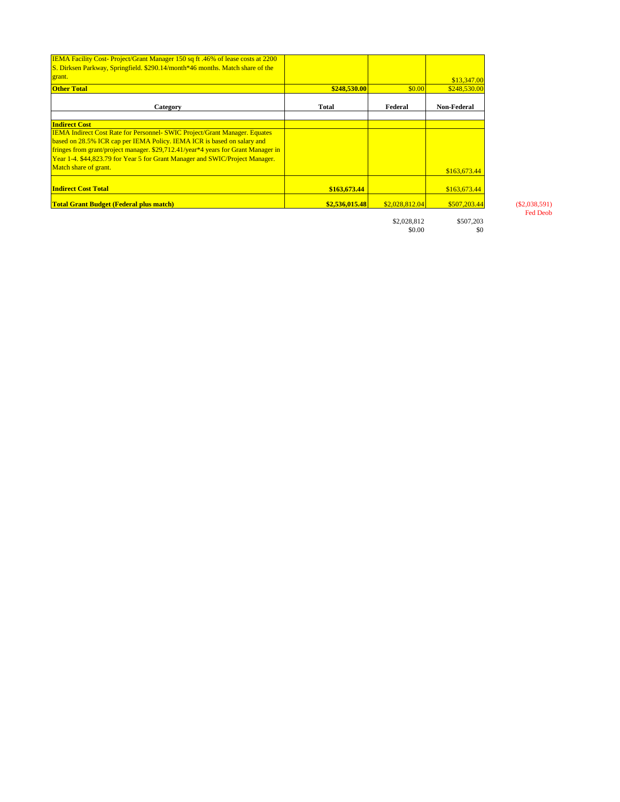| <b>IEMA Facility Cost-Project/Grant Manager 150 sq ft .46% of lease costs at 2200</b><br>S. Dirksen Parkway, Springfield. \$290.14/month*46 months. Match share of the |                |                |                    |
|------------------------------------------------------------------------------------------------------------------------------------------------------------------------|----------------|----------------|--------------------|
| grant.                                                                                                                                                                 |                |                | \$13,347.00        |
| <b>Other Total</b>                                                                                                                                                     | \$248,530.00   | \$0.00         | \$248,530.00       |
| Category                                                                                                                                                               | <b>Total</b>   | Federal        | <b>Non-Federal</b> |
| <b>Indirect Cost</b>                                                                                                                                                   |                |                |                    |
| <b>IEMA Indirect Cost Rate for Personnel- SWIC Project/Grant Manager. Equates</b>                                                                                      |                |                |                    |
| based on 28.5% ICR cap per IEMA Policy. IEMA ICR is based on salary and                                                                                                |                |                |                    |
| fringes from grant/project manager. \$29,712.41/year*4 years for Grant Manager in                                                                                      |                |                |                    |
| Year 1-4. \$44,823.79 for Year 5 for Grant Manager and SWIC/Project Manager.                                                                                           |                |                |                    |
| Match share of grant.                                                                                                                                                  |                |                | \$163,673.44       |
| <b>Indirect Cost Total</b>                                                                                                                                             | \$163,673.44   |                | \$163,673.44       |
| <b>Total Grant Budget (Federal plus match)</b>                                                                                                                         | \$2,536,015.48 | \$2,028,812.04 | \$507,203.44       |
|                                                                                                                                                                        |                |                |                    |

Fed Deob

 $$2,028,812 \qquad \qquad $507,203 \qquad \qquad $0.00 \qquad \qquad $0$$  $$0.00$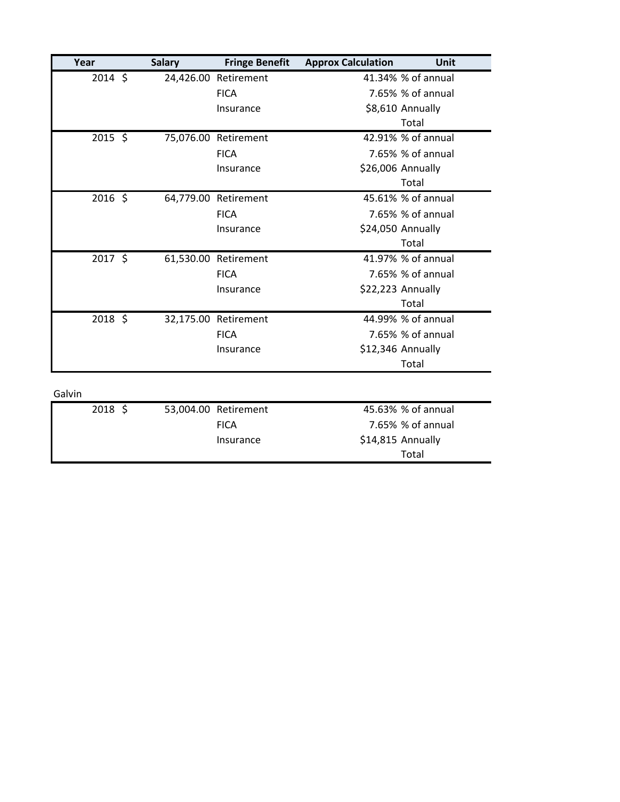| Year   |           | <b>Salary</b> | <b>Fringe Benefit</b> | <b>Approx Calculation</b> | Unit               |
|--------|-----------|---------------|-----------------------|---------------------------|--------------------|
|        | $2014$ \$ |               | 24,426.00 Retirement  |                           | 41.34% % of annual |
|        |           |               | <b>FICA</b>           |                           | 7.65% % of annual  |
|        |           |               | Insurance             |                           | \$8,610 Annually   |
|        |           |               |                       |                           | Total              |
|        | 2015 \$   |               | 75,076.00 Retirement  |                           | 42.91% % of annual |
|        |           |               | <b>FICA</b>           |                           | 7.65% % of annual  |
|        |           |               | Insurance             |                           | \$26,006 Annually  |
|        |           |               |                       |                           | Total              |
|        | $2016$ \$ |               | 64,779.00 Retirement  |                           | 45.61% % of annual |
|        |           |               | <b>FICA</b>           |                           | 7.65% % of annual  |
|        |           |               | Insurance             |                           | \$24,050 Annually  |
|        |           |               |                       |                           | Total              |
|        | 2017 \$   |               | 61,530.00 Retirement  |                           | 41.97% % of annual |
|        |           |               | <b>FICA</b>           |                           | 7.65% % of annual  |
|        |           |               | Insurance             |                           | \$22,223 Annually  |
|        |           |               |                       |                           | Total              |
|        | 2018 \$   |               | 32,175.00 Retirement  |                           | 44.99% % of annual |
|        |           |               | <b>FICA</b>           |                           | 7.65% % of annual  |
|        |           |               | Insurance             |                           | \$12,346 Annually  |
|        |           |               |                       |                           | Total              |
|        |           |               |                       |                           |                    |
| Galvin |           |               |                       |                           |                    |
|        | $2018$ \$ |               | 53,004.00 Retirement  |                           | 45.63% % of annual |
|        |           |               | <b>FICA</b>           |                           | 7.65% % of annual  |
|        |           |               | Insurance             |                           | \$14,815 Annually  |
|        |           |               |                       |                           | Total              |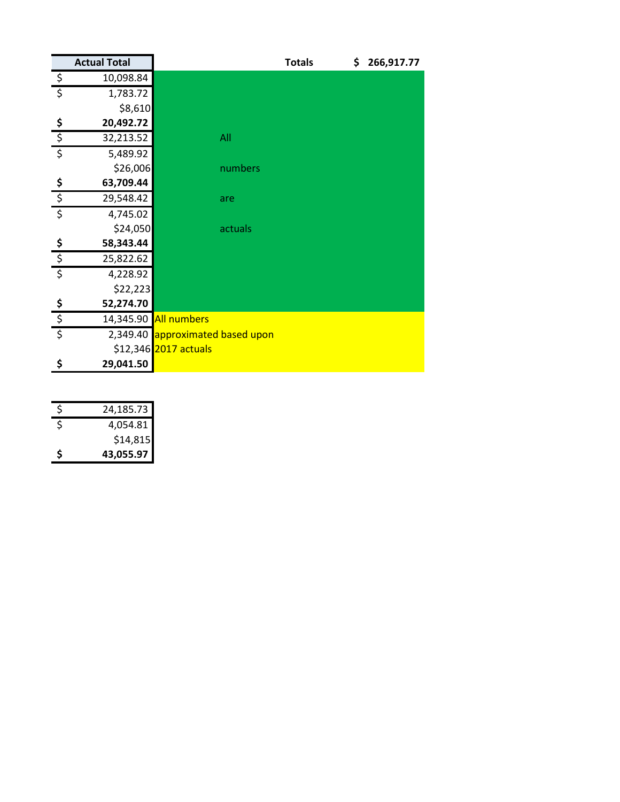|                           | <b>Actual Total</b> |                         | <b>Totals</b><br>\$ | 266,917.77 |
|---------------------------|---------------------|-------------------------|---------------------|------------|
| $\overline{\mathcal{S}}$  | 10,098.84           |                         |                     |            |
| $\overline{\xi}$          | 1,783.72            |                         |                     |            |
|                           | \$8,610             |                         |                     |            |
|                           | 20,492.72           |                         |                     |            |
| $\frac{5}{5}$             | 32,213.52           | All                     |                     |            |
| $\overline{\xi}$          | 5,489.92            |                         |                     |            |
|                           | \$26,006            | numbers                 |                     |            |
| $\boldsymbol{\mathsf{S}}$ | 63,709.44           |                         |                     |            |
| $rac{5}{5}$               | 29,548.42           | are                     |                     |            |
|                           | 4,745.02            |                         |                     |            |
|                           | \$24,050            | actuals                 |                     |            |
| $\mathsf{S}$              | 58,343.44           |                         |                     |            |
| $\frac{1}{2}$             | 25,822.62           |                         |                     |            |
| $\overline{\xi}$          | 4,228.92            |                         |                     |            |
|                           | \$22,223            |                         |                     |            |
| $rac{5}{5}$               | 52,274.70           |                         |                     |            |
|                           | 14,345.90           | <b>All numbers</b>      |                     |            |
| $\overline{\xi}$          | 2,349.40            | approximated based upon |                     |            |
|                           |                     | \$12,346 2017 actuals   |                     |            |
| \$                        | 29,041.50           |                         |                     |            |

| Ś | 24,185.73 |
|---|-----------|
| Ś | 4,054.81  |
|   | \$14,815  |
| Ś | 43,055.97 |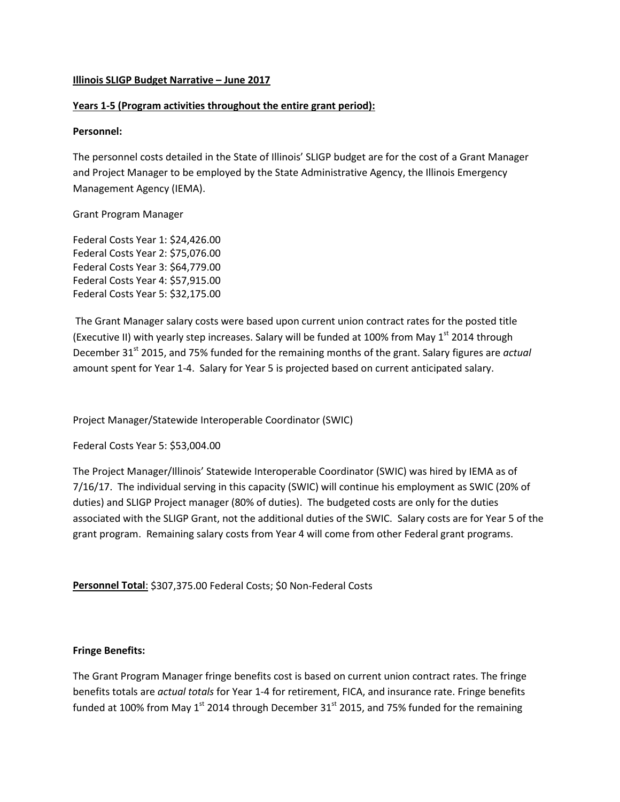## **Illinois SLIGP Budget Narrative – June 2017**

## **Years 1-5 (Program activities throughout the entire grant period):**

## **Personnel:**

The personnel costs detailed in the State of Illinois' SLIGP budget are for the cost of a Grant Manager and Project Manager to be employed by the State Administrative Agency, the Illinois Emergency Management Agency (IEMA).

#### Grant Program Manager

Federal Costs Year 1: \$24,426.00 Federal Costs Year 2: \$75,076.00 Federal Costs Year 3: \$64,779.00 Federal Costs Year 4: \$57,915.00 Federal Costs Year 5: \$32,175.00

The Grant Manager salary costs were based upon current union contract rates for the posted title (Executive II) with yearly step increases. Salary will be funded at 100% from May  $1<sup>st</sup>$  2014 through December 31<sup>st</sup> 2015, and 75% funded for the remaining months of the grant. Salary figures are *actual* amount spent for Year 1-4. Salary for Year 5 is projected based on current anticipated salary.

Project Manager/Statewide Interoperable Coordinator (SWIC)

## Federal Costs Year 5: \$53,004.00

The Project Manager/Illinois' Statewide Interoperable Coordinator (SWIC) was hired by IEMA as of 7/16/17. The individual serving in this capacity (SWIC) will continue his employment as SWIC (20% of duties) and SLIGP Project manager (80% of duties). The budgeted costs are only for the duties associated with the SLIGP Grant, not the additional duties of the SWIC. Salary costs are for Year 5 of the grant program. Remaining salary costs from Year 4 will come from other Federal grant programs.

**Personnel Total**: \$307,375.00 Federal Costs; \$0 Non-Federal Costs

## **Fringe Benefits:**

The Grant Program Manager fringe benefits cost is based on current union contract rates. The fringe benefits totals are *actual totals* for Year 1-4 for retirement, FICA, and insurance rate. Fringe benefits funded at 100% from May 1<sup>st</sup> 2014 through December 31<sup>st</sup> 2015, and 75% funded for the remaining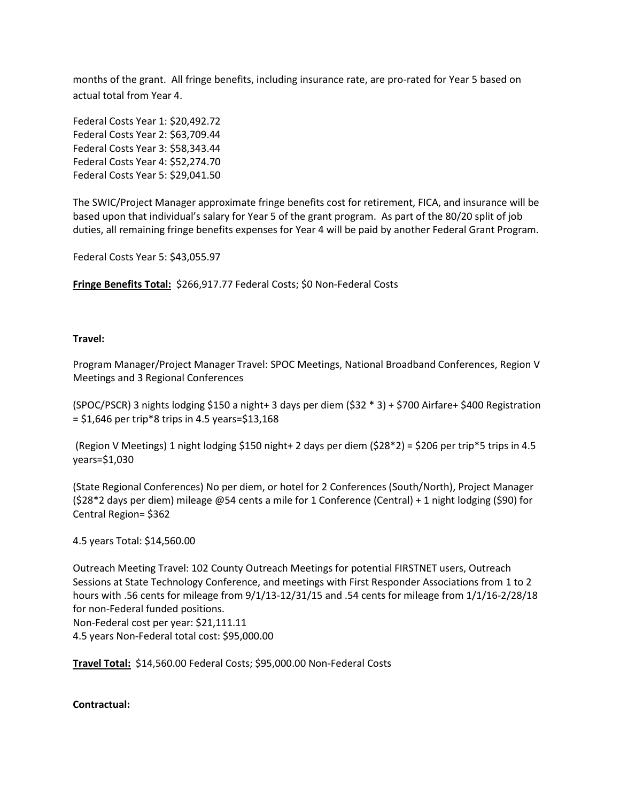months of the grant. All fringe benefits, including insurance rate, are pro-rated for Year 5 based on actual total from Year 4.

Federal Costs Year 1: \$20,492.72 Federal Costs Year 2: \$63,709.44 Federal Costs Year 3: \$58,343.44 Federal Costs Year 4: \$52,274.70 Federal Costs Year 5: \$29,041.50

The SWIC/Project Manager approximate fringe benefits cost for retirement, FICA, and insurance will be based upon that individual's salary for Year 5 of the grant program. As part of the 80/20 split of job duties, all remaining fringe benefits expenses for Year 4 will be paid by another Federal Grant Program.

Federal Costs Year 5: \$43,055.97

**Fringe Benefits Total:** \$266,917.77 Federal Costs; \$0 Non-Federal Costs

#### **Travel:**

Program Manager/Project Manager Travel: SPOC Meetings, National Broadband Conferences, Region V Meetings and 3 Regional Conferences

(SPOC/PSCR) 3 nights lodging \$150 a night+ 3 days per diem (\$32 \* 3) + \$700 Airfare+ \$400 Registration  $=$  \$1,646 per trip\*8 trips in 4.5 years=\$13,168

(Region V Meetings) 1 night lodging \$150 night+ 2 days per diem (\$28\*2) = \$206 per trip\*5 trips in 4.5 years=\$1,030

(State Regional Conferences) No per diem, or hotel for 2 Conferences (South/North), Project Manager (\$28\*2 days per diem) mileage @54 cents a mile for 1 Conference (Central) + 1 night lodging (\$90) for Central Region= \$362

#### 4.5 years Total: \$14,560.00

Outreach Meeting Travel: 102 County Outreach Meetings for potential FIRSTNET users, Outreach Sessions at State Technology Conference, and meetings with First Responder Associations from 1 to 2 hours with .56 cents for mileage from 9/1/13-12/31/15 and .54 cents for mileage from 1/1/16-2/28/18 for non-Federal funded positions. Non-Federal cost per year: \$21,111.11 4.5 years Non-Federal total cost: \$95,000.00

**Travel Total:** \$14,560.00 Federal Costs; \$95,000.00 Non-Federal Costs

**Contractual:**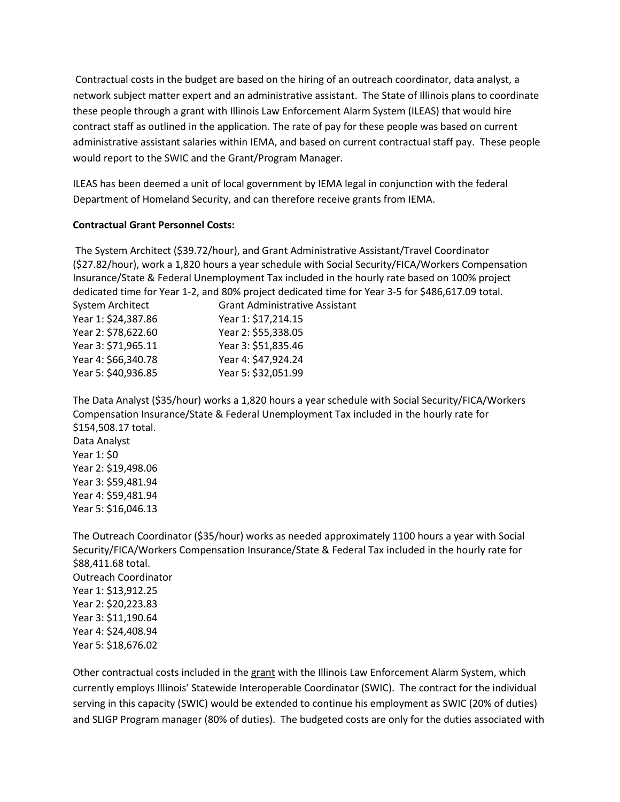Contractual costs in the budget are based on the hiring of an outreach coordinator, data analyst, a network subject matter expert and an administrative assistant. The State of Illinois plans to coordinate these people through a grant with Illinois Law Enforcement Alarm System (ILEAS) that would hire contract staff as outlined in the application. The rate of pay for these people was based on current administrative assistant salaries within IEMA, and based on current contractual staff pay. These people would report to the SWIC and the Grant/Program Manager.

ILEAS has been deemed a unit of local government by IEMA legal in conjunction with the federal Department of Homeland Security, and can therefore receive grants from IEMA.

#### **Contractual Grant Personnel Costs:**

The System Architect (\$39.72/hour), and Grant Administrative Assistant/Travel Coordinator (\$27.82/hour), work a 1,820 hours a year schedule with Social Security/FICA/Workers Compensation Insurance/State & Federal Unemployment Tax included in the hourly rate based on 100% project dedicated time for Year 1-2, and 80% project dedicated time for Year 3-5 for \$486,617.09 total.

| <b>Grant Administrative Assistant</b> |
|---------------------------------------|
| Year 1: \$17,214.15                   |
| Year 2: \$55,338.05                   |
| Year 3: \$51,835.46                   |
| Year 4: \$47,924.24                   |
| Year 5: \$32,051.99                   |
|                                       |

The Data Analyst (\$35/hour) works a 1,820 hours a year schedule with Social Security/FICA/Workers Compensation Insurance/State & Federal Unemployment Tax included in the hourly rate for \$154,508.17 total. Data Analyst Year 1: \$0 Year 2: \$19,498.06 Year 3: \$59,481.94 Year 4: \$59,481.94 Year 5: \$16,046.13

The Outreach Coordinator (\$35/hour) works as needed approximately 1100 hours a year with Social Security/FICA/Workers Compensation Insurance/State & Federal Tax included in the hourly rate for \$88,411.68 total. Outreach Coordinator Year 1: \$13,912.25 Year 2: \$20,223.83 Year 3: \$11,190.64 Year 4: \$24,408.94 Year 5: \$18,676.02

Other contractual costs included in the grant with the Illinois Law Enforcement Alarm System, which Contract units of the contract of the contract of the contract of the contract of the contract of the contract of the cont currently employs Illinois' Statewide Interoperable Coordinator (SWIC). The contract for the individual serving in this capacity (SWIC) would be extended to continue his employment as SWIC (20% of duties) and SLIGP Program manager (80% of duties). The budgeted costs are only for the duties associated with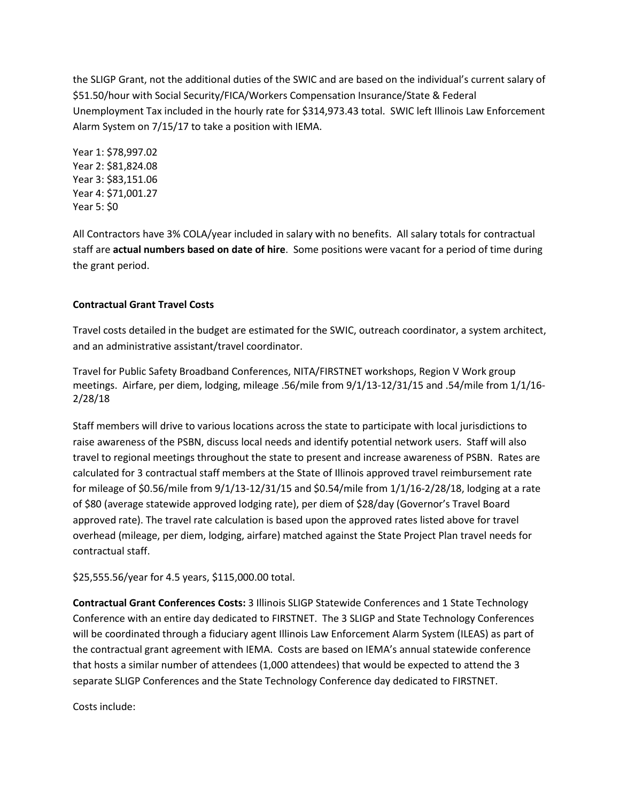the SLIGP Grant, not the additional duties of the SWIC and are based on the individual's current salary of \$51.50/hour with Social Security/FICA/Workers Compensation Insurance/State & Federal Unemployment Tax included in the hourly rate for \$314,973.43 total. SWIC left Illinois Law Enforcement Alarm System on 7/15/17 to take a position with IEMA.

Year 1: \$78,997.02 Year 2: \$81,824.08 Year 3: \$83,151.06 Year 4: \$71,001.27 Year 5: \$0

All Contractors have 3% COLA/year included in salary with no benefits. All salary totals for contractual staff are **actual numbers based on date of hire**. Some positions were vacant for a period of time during the grant period.

# **Contractual Grant Travel Costs**

Travel costs detailed in the budget are estimated for the SWIC, outreach coordinator, a system architect, and an administrative assistant/travel coordinator.

Travel for Public Safety Broadband Conferences, NITA/FIRSTNET workshops, Region V Work group meetings. Airfare, per diem, lodging, mileage .56/mile from 9/1/13-12/31/15 and .54/mile from 1/1/16- 2/28/18

Staff members will drive to various locations across the state to participate with local jurisdictions to raise awareness of the PSBN, discuss local needs and identify potential network users. Staff will also travel to regional meetings throughout the state to present and increase awareness of PSBN. Rates are calculated for 3 contractual staff members at the State of Illinois approved travel reimbursement rate for mileage of \$0.56/mile from  $9/1/13-12/31/15$  and \$0.54/mile from  $1/1/16-2/28/18$ , lodging at a rate of \$80 (average statewide approved lodging rate), per diem of \$28/day (Governor's Travel Board approved rate). The travel rate calculation is based upon the approved rates listed above for travel overhead (mileage, per diem, lodging, airfare) matched against the State Project Plan travel needs for contractual staff.

\$25,555.56/year for 4.5 years, \$115,000.00 total.

**Contractual Grant Conferences Costs:** 3 Illinois SLIGP Statewide Conferences and 1 State Technology Conference with an entire day dedicated to FIRSTNET. The 3 SLIGP and State Technology Conferences will be coordinated through a fiduciary agent Illinois Law Enforcement Alarm System (ILEAS) as part of the contractual grant agreement with IEMA. Costs are based on IEMA's annual statewide conference that hosts a similar number of attendees (1,000 attendees) that would be expected to attend the 3 separate SLIGP Conferences and the State Technology Conference day dedicated to FIRSTNET.

Costs include: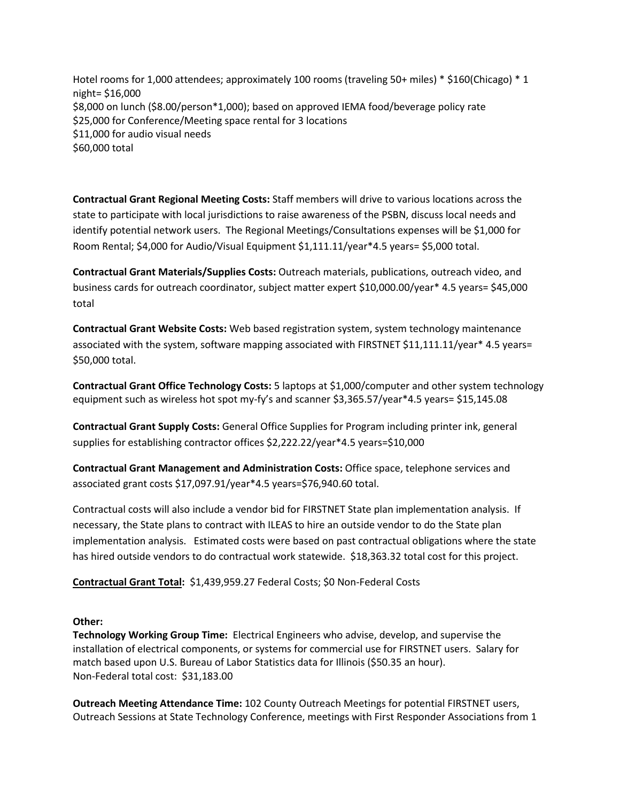Hotel rooms for 1,000 attendees; approximately 100 rooms (traveling 50+ miles) \* \$160(Chicago) \* 1 night= \$16,000 \$8,000 on lunch (\$8.00/person\*1,000); based on approved IEMA food/beverage policy rate \$25,000 for Conference/Meeting space rental for 3 locations \$11,000 for audio visual needs \$60,000 total

**Contractual Grant Regional Meeting Costs:** Staff members will drive to various locations across the state to participate with local jurisdictions to raise awareness of the PSBN, discuss local needs and identify potential network users. The Regional Meetings/Consultations expenses will be \$1,000 for Room Rental; \$4,000 for Audio/Visual Equipment \$1,111.11/year\*4.5 years= \$5,000 total.

**Contractual Grant Materials/Supplies Costs:** Outreach materials, publications, outreach video, and business cards for outreach coordinator, subject matter expert \$10,000.00/year\* 4.5 years= \$45,000 total

**Contractual Grant Website Costs:** Web based registration system, system technology maintenance associated with the system, software mapping associated with FIRSTNET \$11,111.11/year\* 4.5 years= \$50,000 total.

**Contractual Grant Office Technology Costs:** 5 laptops at \$1,000/computer and other system technology equipment such as wireless hot spot my-fy's and scanner \$3,365.57/year\*4.5 years= \$15,145.08

**Contractual Grant Supply Costs:** General Office Supplies for Program including printer ink, general supplies for establishing contractor offices \$2,222.22/year\*4.5 years=\$10,000

**Contractual Grant Management and Administration Costs:** Office space, telephone services and associated grant costs \$17,097.91/year\*4.5 years=\$76,940.60 total.

Contractual costs will also include a vendor bid for FIRSTNET State plan implementation analysis. If necessary, the State plans to contract with ILEAS to hire an outside vendor to do the State plan implementation analysis. Estimated costs were based on past contractual obligations where the state has hired outside vendors to do contractual work statewide. \$18,363.32 total cost for this project.

**Contractual Grant Total:** \$1,439,959.27 Federal Costs; \$0 Non-Federal Costs

## **Other:**

**Technology Working Group Time:** Electrical Engineers who advise, develop, and supervise the installation of electrical components, or systems for commercial use for FIRSTNET users. Salary for match based upon U.S. Bureau of Labor Statistics data for Illinois (\$50.35 an hour). Non-Federal total cost: \$31,183.00

**Outreach Meeting Attendance Time:** 102 County Outreach Meetings for potential FIRSTNET users, Outreach Sessions at State Technology Conference, meetings with First Responder Associations from 1